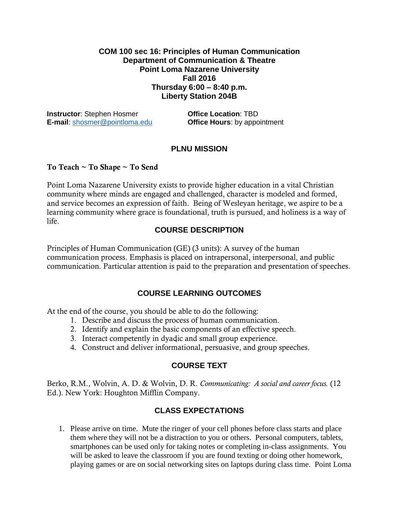### **COM 100 sec 16: Principles of Human Communication Department of Communication & Theatre Point Loma Nazarene University Fall 2016 Thursday 6:00 – 8:40 p.m. Liberty Station 204B**

**Instructor:** Stephen Hosmer **Office Location: TBD E-mail**: [shosmer@pointloma.edu](mailto:shosmer@pointloma.edu) **Office Hours**: by appointment

### **PLNU MISSION**

#### **To Teach ~ To Shape ~ To Send**

Point Loma Nazarene University exists to provide higher education in a vital Christian community where minds are engaged and challenged, character is modeled and formed, and service becomes an expression of faith. Being of Wesleyan heritage, we aspire to be a learning community where grace is foundational, truth is pursued, and holiness is a way of life.

### **COURSE DESCRIPTION**

Principles of Human Communication (GE) (3 units): A survey of the human communication process. Emphasis is placed on intrapersonal, interpersonal, and public communication. Particular attention is paid to the preparation and presentation of speeches.

### **COURSE LEARNING OUTCOMES**

At the end of the course, you should be able to do the following:

- 1. Describe and discuss the process of human communication.
- 2. Identify and explain the basic components of an effective speech.
- 3. Interact competently in dyadic and small group experience.
- 4. Construct and deliver informational, persuasive, and group speeches.

### **COURSE TEXT**

Berko, R.M., Wolvin, A. D. & Wolvin, D. R. *Communicating: A social and career focus.* (12 Ed.). New York: Houghton Mifflin Company.

### **CLASS EXPECTATIONS**

1. Please arrive on time. Mute the ringer of your cell phones before class starts and place them where they will not be a distraction to you or others. Personal computers, tablets, smartphones can be used only for taking notes or completing in-class assignments. You will be asked to leave the classroom if you are found texting or doing other homework, playing games or are on social networking sites on laptops during class time. Point Loma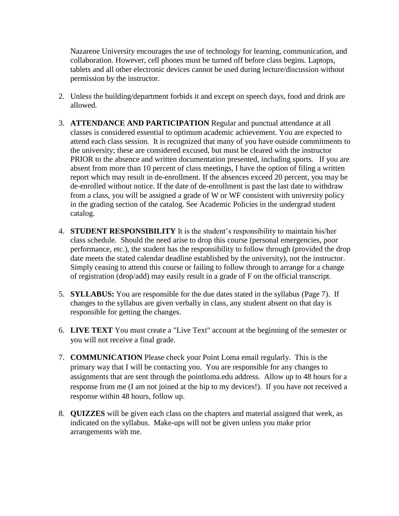Nazarene University encourages the use of technology for learning, communication, and collaboration. However, cell phones must be turned off before class begins. Laptops, tablets and all other electronic devices cannot be used during lecture/discussion without permission by the instructor.

- 2. Unless the building/department forbids it and except on speech days, food and drink are allowed.
- 3. **ATTENDANCE AND PARTICIPATION** Regular and punctual attendance at all classes is considered essential to optimum academic achievement. You are expected to attend each class session. It is recognized that many of you have outside commitments to the university; these are considered excused, but must be cleared with the instructor PRIOR to the absence and written documentation presented, including sports. If you are absent from more than 10 percent of class meetings, I have the option of filing a written report which may result in de-enrollment. If the absences exceed 20 percent, you may be de-enrolled without notice. If the date of de-enrollment is past the last date to withdraw from a class, you will be assigned a grade of W or WF consistent with university policy in the grading section of the catalog. See Academic Policies in the undergrad student catalog.
- 4. **STUDENT RESPONSIBILITY** It is the student's responsibility to maintain his/her class schedule. Should the need arise to drop this course (personal emergencies, poor performance, etc.), the student has the responsibility to follow through (provided the drop date meets the stated calendar deadline established by the university), not the instructor. Simply ceasing to attend this course or failing to follow through to arrange for a change of registration (drop/add) may easily result in a grade of F on the official transcript.
- 5. **SYLLABUS:** You are responsible for the due dates stated in the syllabus (Page [7\)](#page-6-0). If changes to the syllabus are given verbally in class, any student absent on that day is responsible for getting the changes.
- 6. **LIVE TEXT** You must create a "Live Text" account at the beginning of the semester or you will not receive a final grade.
- 7. **COMMUNICATION** Please check your Point Loma email regularly. This is the primary way that I will be contacting you. You are responsible for any changes to assignments that are sent through the pointloma.edu address. Allow up to 48 hours for a response from me (I am not joined at the hip to my devices!). If you have not received a response within 48 hours, follow up.
- 8. **QUIZZES** will be given each class on the chapters and material assigned that week, as indicated on the syllabus. Make-ups will not be given unless you make prior arrangements with me.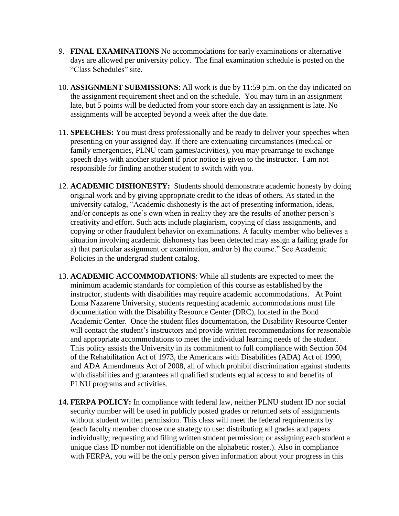- 9. **FINAL EXAMINATIONS** No accommodations for early examinations or alternative days are allowed per university policy. The final examination schedule is posted on the "Class Schedules" site.
- 10. **ASSIGNMENT SUBMISSIONS**: All work is due by 11:59 p.m. on the day indicated on the assignment requirement sheet and on the schedule. You may turn in an assignment late, but 5 points will be deducted from your score each day an assignment is late. No assignments will be accepted beyond a week after the due date.
- 11. **SPEECHES:** You must dress professionally and be ready to deliver your speeches when presenting on your assigned day. If there are extenuating circumstances (medical or family emergencies, PLNU team games/activities), you may prearrange to exchange speech days with another student if prior notice is given to the instructor. I am not responsible for finding another student to switch with you.
- 12. **ACADEMIC DISHONESTY:** Students should demonstrate academic honesty by doing original work and by giving appropriate credit to the ideas of others. As stated in the university catalog, "Academic dishonesty is the act of presenting information, ideas, and/or concepts as one's own when in reality they are the results of another person's creativity and effort. Such acts include plagiarism, copying of class assignments, and copying or other fraudulent behavior on examinations. A faculty member who believes a situation involving academic dishonesty has been detected may assign a failing grade for a) that particular assignment or examination, and/or b) the course." See Academic Policies in the undergrad student catalog.
- 13. **ACADEMIC ACCOMMODATIONS**: While all students are expected to meet the minimum academic standards for completion of this course as established by the instructor, students with disabilities may require academic accommodations. At Point Loma Nazarene University, students requesting academic accommodations must file documentation with the Disability Resource Center (DRC), located in the Bond Academic Center. Once the student files documentation, the Disability Resource Center will contact the student's instructors and provide written recommendations for reasonable and appropriate accommodations to meet the individual learning needs of the student. This policy assists the University in its commitment to full compliance with Section 504 of the Rehabilitation Act of 1973, the Americans with Disabilities (ADA) Act of 1990, and ADA Amendments Act of 2008, all of which prohibit discrimination against students with disabilities and guarantees all qualified students equal access to and benefits of PLNU programs and activities.
- **14. FERPA POLICY:** In compliance with federal law, neither PLNU student ID nor social security number will be used in publicly posted grades or returned sets of assignments without student written permission. This class will meet the federal requirements by (each faculty member choose one strategy to use: distributing all grades and papers individually; requesting and filing written student permission; or assigning each student a unique class ID number not identifiable on the alphabetic roster.). Also in compliance with FERPA, you will be the only person given information about your progress in this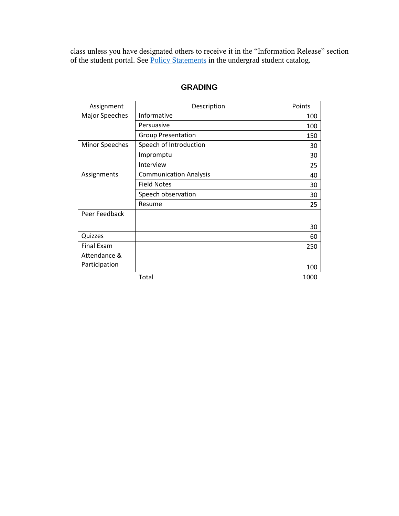class unless you have designated others to receive it in the "Information Release" section of the student portal. See [Policy Statements](http://www.pointloma.edu/experience/academics/catalogs/undergraduate-catalog/policy-statements) in the undergrad student catalog.

| Assignment            | Description                   | Points |
|-----------------------|-------------------------------|--------|
| <b>Major Speeches</b> | Informative                   | 100    |
|                       | Persuasive                    | 100    |
|                       | <b>Group Presentation</b>     | 150    |
| <b>Minor Speeches</b> | Speech of Introduction        | 30     |
|                       | Impromptu                     | 30     |
|                       | Interview                     | 25     |
| Assignments           | <b>Communication Analysis</b> | 40     |
|                       | <b>Field Notes</b>            | 30     |
|                       | Speech observation            | 30     |
|                       | Resume                        | 25     |
| Peer Feedback         |                               |        |
|                       |                               | 30     |
| Quizzes               |                               | 60     |
| <b>Final Exam</b>     |                               | 250    |
| Attendance &          |                               |        |
| Participation         |                               | 100    |
|                       | Total                         | 1000   |

## **GRADING**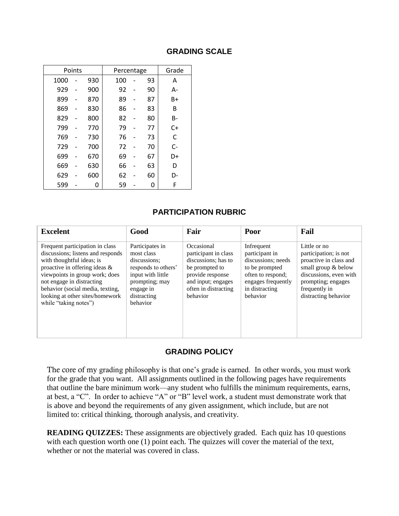| Points |  | Percentage |     |  | Grade |      |
|--------|--|------------|-----|--|-------|------|
| 1000   |  | 930        | 100 |  | 93    | А    |
| 929    |  | 900        | 92  |  | 90    | А-   |
| 899    |  | 870        | 89  |  | 87    | B+   |
| 869    |  | 830        | 86  |  | 83    | B    |
| 829    |  | 800        | 82  |  | 80    | B-   |
| 799    |  | 770        | 79  |  | 77    | $C+$ |
| 769    |  | 730        | 76  |  | 73    | C    |
| 729    |  | 700        | 72  |  | 70    | C-   |
| 699    |  | 670        | 69  |  | 67    | D+   |
| 669    |  | 630        | 66  |  | 63    | D    |
| 629    |  | 600        | 62  |  | 60    | D-   |
| 599    |  | 0          | 59  |  | 0     | F    |

### **GRADING SCALE**

## **PARTICIPATION RUBRIC**

| <b>Excelent</b>                                                                                                                                                                                                                                                                                   | Good                                                                                                                                                | Fair                                                                                                                                                      | Poor                                                                                                                                          | Fail                                                                                                                                                                            |
|---------------------------------------------------------------------------------------------------------------------------------------------------------------------------------------------------------------------------------------------------------------------------------------------------|-----------------------------------------------------------------------------------------------------------------------------------------------------|-----------------------------------------------------------------------------------------------------------------------------------------------------------|-----------------------------------------------------------------------------------------------------------------------------------------------|---------------------------------------------------------------------------------------------------------------------------------------------------------------------------------|
| Frequent participation in class<br>discussions; listens and responds<br>with thoughtful ideas; is<br>proactive in offering ideas &<br>viewpoints in group work; does<br>not engage in distracting<br>behavior (social media, texting,<br>looking at other sites/homework<br>while "taking notes") | Participates in<br>most class<br>discussions:<br>responds to others'<br>input with little<br>prompting; may<br>engage in<br>distracting<br>behavior | Occasional<br>participant in class<br>discussions: has to<br>be prompted to<br>provide response<br>and input; engages<br>often in distracting<br>behavior | Infrequent<br>participant in<br>discussions: needs<br>to be prompted<br>often to respond;<br>engages frequently<br>in distracting<br>behavior | Little or no<br>participation; is not<br>proactive in class and<br>small group & below<br>discussions, even with<br>prompting; engages<br>frequently in<br>distracting behavior |

### **GRADING POLICY**

The core of my grading philosophy is that one's grade is earned. In other words, you must work for the grade that you want. All assignments outlined in the following pages have requirements that outline the bare minimum work—any student who fulfills the minimum requirements, earns, at best, a "C". In order to achieve "A" or "B" level work, a student must demonstrate work that is above and beyond the requirements of any given assignment, which include, but are not limited to: critical thinking, thorough analysis, and creativity.

**READING QUIZZES:** These assignments are objectively graded. Each quiz has 10 questions with each question worth one (1) point each. The quizzes will cover the material of the text, whether or not the material was covered in class.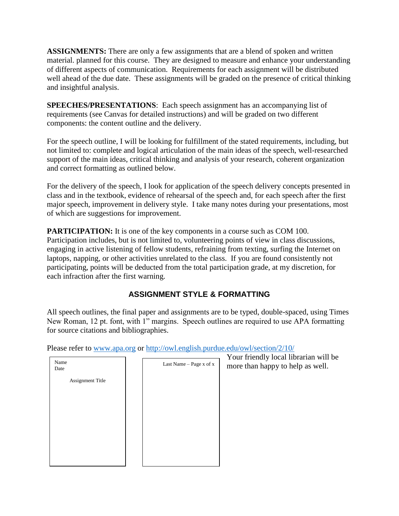**ASSIGNMENTS:** There are only a few assignments that are a blend of spoken and written material. planned for this course. They are designed to measure and enhance your understanding of different aspects of communication. Requirements for each assignment will be distributed well ahead of the due date. These assignments will be graded on the presence of critical thinking and insightful analysis.

**SPEECHES/PRESENTATIONS**: Each speech assignment has an accompanying list of requirements (see Canvas for detailed instructions) and will be graded on two different components: the content outline and the delivery.

For the speech outline, I will be looking for fulfillment of the stated requirements, including, but not limited to: complete and logical articulation of the main ideas of the speech, well-researched support of the main ideas, critical thinking and analysis of your research, coherent organization and correct formatting as outlined below.

For the delivery of the speech, I look for application of the speech delivery concepts presented in class and in the textbook, evidence of rehearsal of the speech and, for each speech after the first major speech, improvement in delivery style. I take many notes during your presentations, most of which are suggestions for improvement.

**PARTICIPATION:** It is one of the key components in a course such as COM 100. Participation includes, but is not limited to, volunteering points of view in class discussions, engaging in active listening of fellow students, refraining from texting, surfing the Internet on laptops, napping, or other activities unrelated to the class. If you are found consistently not participating, points will be deducted from the total participation grade, at my discretion, for each infraction after the first warning.

# **ASSIGNMENT STYLE & FORMATTING**

All speech outlines, the final paper and assignments are to be typed, double-spaced, using Times New Roman, 12 pt. font, with 1" margins. Speech outlines are required to use APA formatting for source citations and bibliographies.

Please refer to [www.apa.org](http://www.apa.org/) or <http://owl.english.purdue.edu/owl/section/2/10/>

| Name<br>Date            | Last Name - Page x of x | Your friendly local librarian will be<br>more than happy to help as well. |
|-------------------------|-------------------------|---------------------------------------------------------------------------|
| <b>Assignment Title</b> |                         |                                                                           |
|                         |                         |                                                                           |
|                         |                         |                                                                           |
|                         |                         |                                                                           |
|                         |                         |                                                                           |
|                         |                         |                                                                           |
|                         |                         |                                                                           |